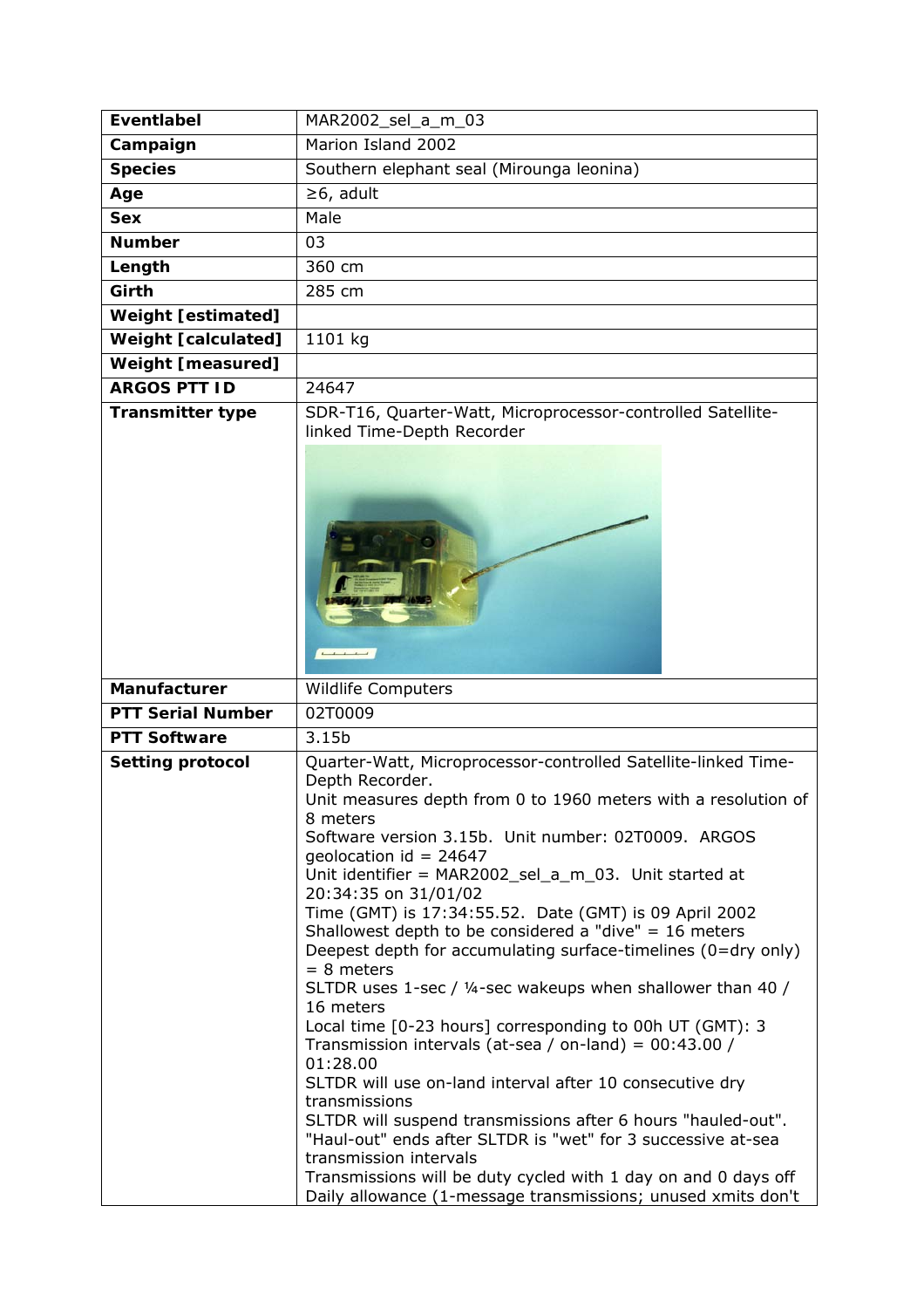| <b>Eventlabel</b>          | MAR2002_sel_a_m_03                                                                                                                                                                                                                                                                                                                                                                                                                                                                                                                                                                                                                                                                                                                                                                                                                                                                                                                                                      |
|----------------------------|-------------------------------------------------------------------------------------------------------------------------------------------------------------------------------------------------------------------------------------------------------------------------------------------------------------------------------------------------------------------------------------------------------------------------------------------------------------------------------------------------------------------------------------------------------------------------------------------------------------------------------------------------------------------------------------------------------------------------------------------------------------------------------------------------------------------------------------------------------------------------------------------------------------------------------------------------------------------------|
| Campaign                   | Marion Island 2002                                                                                                                                                                                                                                                                                                                                                                                                                                                                                                                                                                                                                                                                                                                                                                                                                                                                                                                                                      |
| <b>Species</b>             | Southern elephant seal (Mirounga leonina)                                                                                                                                                                                                                                                                                                                                                                                                                                                                                                                                                                                                                                                                                                                                                                                                                                                                                                                               |
| Age                        | $\geq 6$ , adult                                                                                                                                                                                                                                                                                                                                                                                                                                                                                                                                                                                                                                                                                                                                                                                                                                                                                                                                                        |
| <b>Sex</b>                 | Male                                                                                                                                                                                                                                                                                                                                                                                                                                                                                                                                                                                                                                                                                                                                                                                                                                                                                                                                                                    |
| <b>Number</b>              | 03                                                                                                                                                                                                                                                                                                                                                                                                                                                                                                                                                                                                                                                                                                                                                                                                                                                                                                                                                                      |
| Length                     | 360 cm                                                                                                                                                                                                                                                                                                                                                                                                                                                                                                                                                                                                                                                                                                                                                                                                                                                                                                                                                                  |
| Girth                      | 285 cm                                                                                                                                                                                                                                                                                                                                                                                                                                                                                                                                                                                                                                                                                                                                                                                                                                                                                                                                                                  |
| <b>Weight [estimated]</b>  |                                                                                                                                                                                                                                                                                                                                                                                                                                                                                                                                                                                                                                                                                                                                                                                                                                                                                                                                                                         |
| <b>Weight [calculated]</b> | 1101 kg                                                                                                                                                                                                                                                                                                                                                                                                                                                                                                                                                                                                                                                                                                                                                                                                                                                                                                                                                                 |
| <b>Weight [measured]</b>   |                                                                                                                                                                                                                                                                                                                                                                                                                                                                                                                                                                                                                                                                                                                                                                                                                                                                                                                                                                         |
| <b>ARGOS PTT ID</b>        | 24647                                                                                                                                                                                                                                                                                                                                                                                                                                                                                                                                                                                                                                                                                                                                                                                                                                                                                                                                                                   |
| <b>Transmitter type</b>    | SDR-T16, Quarter-Watt, Microprocessor-controlled Satellite-                                                                                                                                                                                                                                                                                                                                                                                                                                                                                                                                                                                                                                                                                                                                                                                                                                                                                                             |
|                            | linked Time-Depth Recorder<br>$\begin{array}{ccccccccccccc}\n1 & 1 & 1 & 1 & 1\n\end{array}$                                                                                                                                                                                                                                                                                                                                                                                                                                                                                                                                                                                                                                                                                                                                                                                                                                                                            |
| Manufacturer               | <b>Wildlife Computers</b>                                                                                                                                                                                                                                                                                                                                                                                                                                                                                                                                                                                                                                                                                                                                                                                                                                                                                                                                               |
| <b>PTT Serial Number</b>   | 02T0009                                                                                                                                                                                                                                                                                                                                                                                                                                                                                                                                                                                                                                                                                                                                                                                                                                                                                                                                                                 |
| <b>PTT Software</b>        | 3.15b                                                                                                                                                                                                                                                                                                                                                                                                                                                                                                                                                                                                                                                                                                                                                                                                                                                                                                                                                                   |
| <b>Setting protocol</b>    | Quarter-Watt, Microprocessor-controlled Satellite-linked Time-<br>Depth Recorder.<br>Unit measures depth from 0 to 1960 meters with a resolution of<br>8 meters<br>Software version 3.15b. Unit number: 02T0009. ARGOS<br>geolocation id = $24647$<br>Unit identifier = MAR2002_sel_a_m_03. Unit started at<br>20:34:35 on 31/01/02<br>Time (GMT) is 17:34:55.52. Date (GMT) is 09 April 2002<br>Shallowest depth to be considered a "dive" = $16$ meters<br>Deepest depth for accumulating surface-timelines (0=dry only)<br>$= 8$ meters<br>SLTDR uses 1-sec / 1/4-sec wakeups when shallower than 40 /<br>16 meters<br>Local time [0-23 hours] corresponding to 00h UT (GMT): 3<br>Transmission intervals (at-sea / on-land) = $00:43.00$ /<br>01:28.00<br>SLTDR will use on-land interval after 10 consecutive dry<br>transmissions<br>SLTDR will suspend transmissions after 6 hours "hauled-out".<br>"Haul-out" ends after SLTDR is "wet" for 3 successive at-sea |